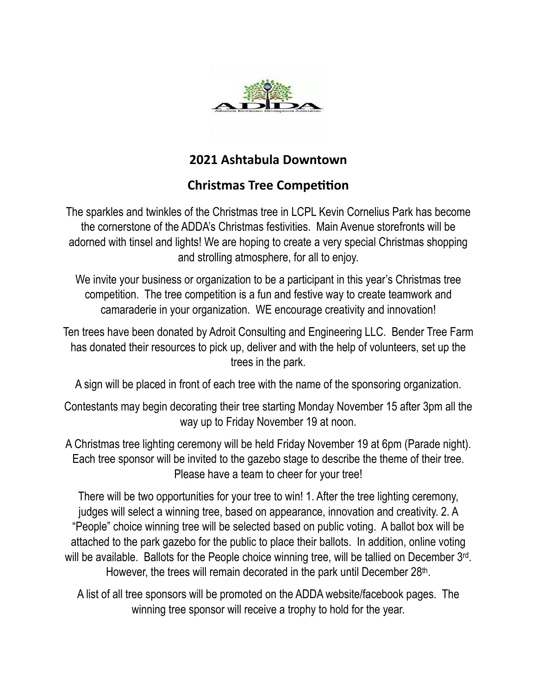

## **2021 Ashtabula Downtown**

## **Christmas Tree Competition**

The sparkles and twinkles of the Christmas tree in LCPL Kevin Cornelius Park has become the cornerstone of the ADDA's Christmas festivities. Main Avenue storefronts will be adorned with tinsel and lights! We are hoping to create a very special Christmas shopping and strolling atmosphere, for all to enjoy.

We invite your business or organization to be a participant in this year's Christmas tree competition. The tree competition is a fun and festive way to create teamwork and camaraderie in your organization. WE encourage creativity and innovation!

Ten trees have been donated by Adroit Consulting and Engineering LLC. Bender Tree Farm has donated their resources to pick up, deliver and with the help of volunteers, set up the trees in the park.

A sign will be placed in front of each tree with the name of the sponsoring organization.

Contestants may begin decorating their tree starting Monday November 15 after 3pm all the way up to Friday November 19 at noon.

A Christmas tree lighting ceremony will be held Friday November 19 at 6pm (Parade night). Each tree sponsor will be invited to the gazebo stage to describe the theme of their tree. Please have a team to cheer for your tree!

There will be two opportunities for your tree to win! 1. After the tree lighting ceremony, judges will select a winning tree, based on appearance, innovation and creativity. 2. A "People" choice winning tree will be selected based on public voting. A ballot box will be attached to the park gazebo for the public to place their ballots. In addition, online voting will be available. Ballots for the People choice winning tree, will be tallied on December 3rd. However, the trees will remain decorated in the park until December 28th.

A list of all tree sponsors will be promoted on the ADDA website/facebook pages. The winning tree sponsor will receive a trophy to hold for the year.